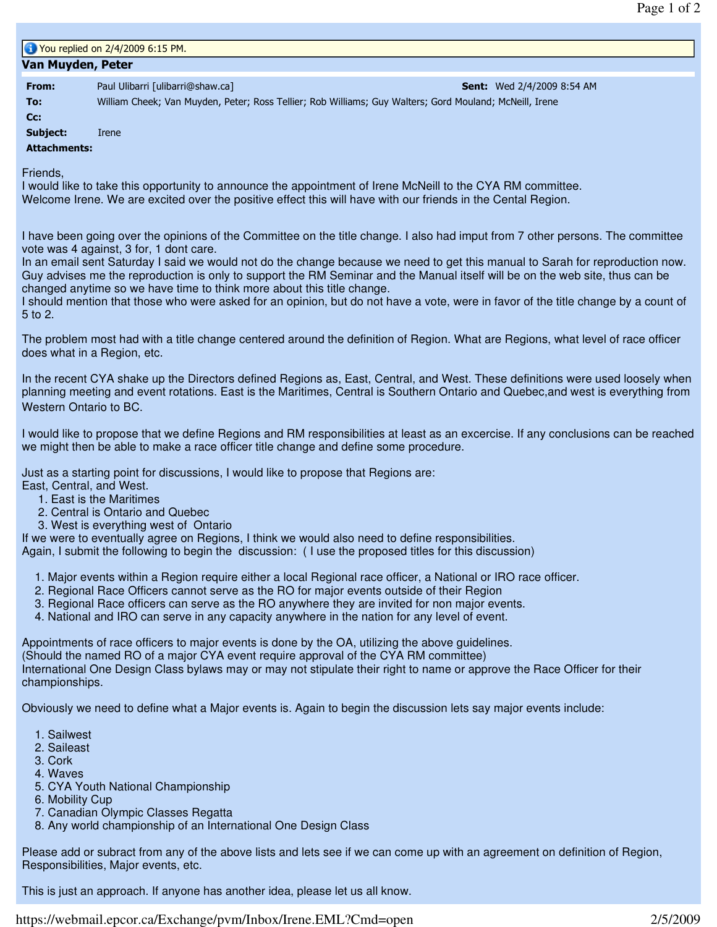| 1 You replied on 2/4/2009 6:15 PM. |                                                                                                         |                                   |
|------------------------------------|---------------------------------------------------------------------------------------------------------|-----------------------------------|
| Van Muyden, Peter                  |                                                                                                         |                                   |
| From:                              | Paul Ulibarri [ulibarri@shaw.ca]                                                                        | <b>Sent:</b> Wed 2/4/2009 8:54 AM |
| To:                                | William Cheek; Van Muyden, Peter; Ross Tellier; Rob Williams; Guy Walters; Gord Mouland; McNeill, Irene |                                   |
| $Cc$ :                             |                                                                                                         |                                   |
| Subject:                           | Irene                                                                                                   |                                   |
| <b>Attachments:</b>                |                                                                                                         |                                   |

Friends,

I would like to take this opportunity to announce the appointment of Irene McNeill to the CYA RM committee. Welcome Irene. We are excited over the positive effect this will have with our friends in the Cental Region.

I have been going over the opinions of the Committee on the title change. I also had imput from 7 other persons. The committee vote was 4 against, 3 for, 1 dont care.

In an email sent Saturday I said we would not do the change because we need to get this manual to Sarah for reproduction now. Guy advises me the reproduction is only to support the RM Seminar and the Manual itself will be on the web site, thus can be changed anytime so we have time to think more about this title change.

I should mention that those who were asked for an opinion, but do not have a vote, were in favor of the title change by a count of 5 to 2.

The problem most had with a title change centered around the definition of Region. What are Regions, what level of race officer does what in a Region, etc.

In the recent CYA shake up the Directors defined Regions as, East, Central, and West. These definitions were used loosely when planning meeting and event rotations. East is the Maritimes, Central is Southern Ontario and Quebec,and west is everything from Western Ontario to BC.

I would like to propose that we define Regions and RM responsibilities at least as an excercise. If any conclusions can be reached we might then be able to make a race officer title change and define some procedure.

Just as a starting point for discussions, I would like to propose that Regions are:

- East, Central, and West.
	- 1. East is the Maritimes
	- 2. Central is Ontario and Quebec
	- 3. West is everything west of Ontario

If we were to eventually agree on Regions, I think we would also need to define responsibilities.

Again, I submit the following to begin the discussion: ( I use the proposed titles for this discussion)

- 1. Major events within a Region require either a local Regional race officer, a National or IRO race officer.
- 2. Regional Race Officers cannot serve as the RO for major events outside of their Region
- 3. Regional Race officers can serve as the RO anywhere they are invited for non major events.
- 4. National and IRO can serve in any capacity anywhere in the nation for any level of event.

Appointments of race officers to major events is done by the OA, utilizing the above guidelines.

(Should the named RO of a major CYA event require approval of the CYA RM committee)

International One Design Class bylaws may or may not stipulate their right to name or approve the Race Officer for their championships.

Obviously we need to define what a Major events is. Again to begin the discussion lets say major events include:

- 1. Sailwest
- 2. Saileast
- 3. Cork
- 4. Waves
- 5. CYA Youth National Championship
- 6. Mobility Cup
- 7. Canadian Olympic Classes Regatta
- 8. Any world championship of an International One Design Class

Please add or subract from any of the above lists and lets see if we can come up with an agreement on definition of Region, Responsibilities, Major events, etc.

This is just an approach. If anyone has another idea, please let us all know.